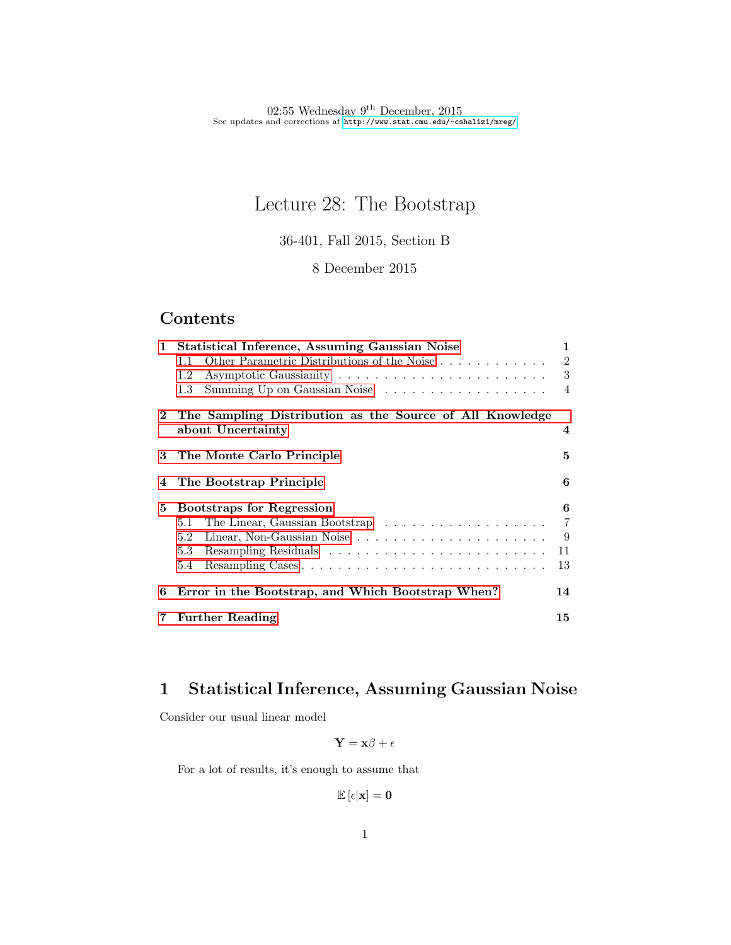# Lecture 28: The Bootstrap

36-401, Fall 2015, Section B

8 December 2015

## Contents

| $\mathbf{1}$          | <b>Statistical Inference, Assuming Gaussian Noise</b>    | 1                       |
|-----------------------|----------------------------------------------------------|-------------------------|
|                       | Other Parametric Distributions of the Noise<br>$1.1\,$   | $\overline{2}$          |
|                       | 1.2                                                      | 3                       |
|                       | Summing Up on Gaussian Noise<br>1.3                      | $\overline{4}$          |
| $\mathbf{2}^{\prime}$ | The Sampling Distribution as the Source of All Knowledge |                         |
|                       | about Uncertainty                                        | $\overline{\mathbf{4}}$ |
| 3                     | The Monte Carlo Principle                                | 5                       |
|                       | 4 The Bootstrap Principle                                | 6                       |
| 5                     | <b>Bootstraps for Regression</b>                         | 6                       |
|                       | 5.1                                                      | 7                       |
|                       | 5.2                                                      | 9                       |
|                       | 5.3                                                      | 11                      |
|                       | $5.4\phantom{0}$                                         | 13                      |
| 6                     | Error in the Bootstrap, and Which Bootstrap When?        | 14                      |
| 7                     | <b>Further Reading</b>                                   | 15                      |

## <span id="page-0-0"></span>1 Statistical Inference, Assuming Gaussian Noise

Consider our usual linear model

$$
\mathbf{Y} = \mathbf{x}\boldsymbol{\beta} + \boldsymbol{\epsilon}
$$

For a lot of results, it's enough to assume that

$$
\mathbb{E}\left[\epsilon|\mathbf{x}\right]=\mathbf{0}
$$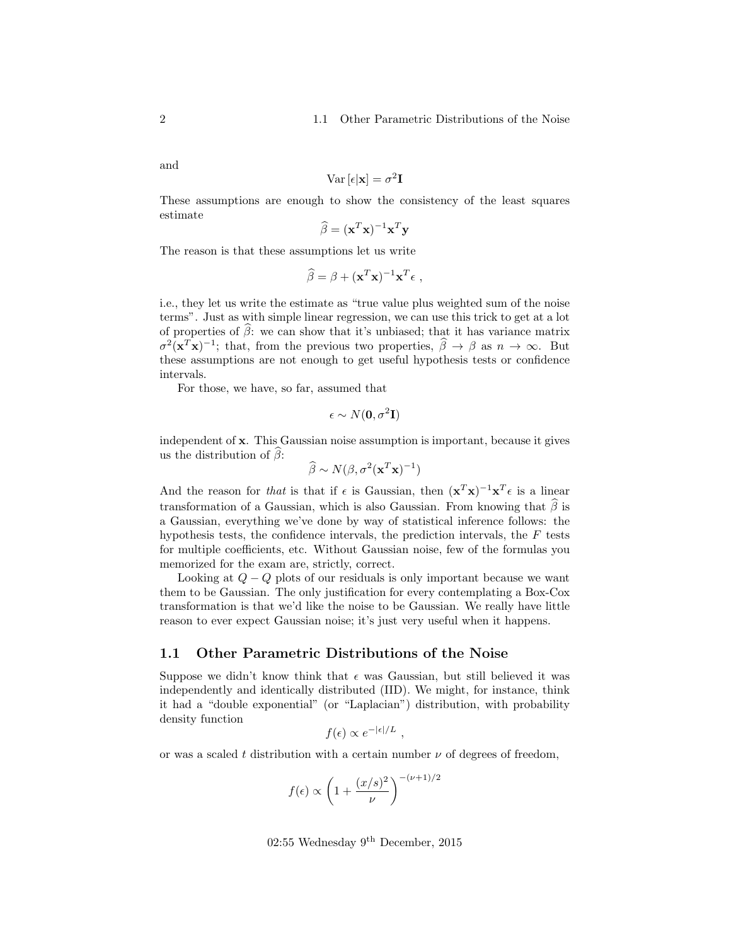and

$$
\text{Var}\left[\epsilon|\mathbf{x}\right] = \sigma^2 \mathbf{I}
$$

These assumptions are enough to show the consistency of the least squares estimate

$$
\widehat{\beta} = (\mathbf{x}^T \mathbf{x})^{-1} \mathbf{x}^T \mathbf{y}
$$

The reason is that these assumptions let us write

$$
\widehat{\beta} = \beta + (\mathbf{x}^T \mathbf{x})^{-1} \mathbf{x}^T \epsilon ,
$$

i.e., they let us write the estimate as "true value plus weighted sum of the noise terms". Just as with simple linear regression, we can use this trick to get at a lot of properties of  $\hat{\beta}$ : we can show that it's unbiased; that it has variance matrix  $\sigma^2(\mathbf{x}^T\mathbf{x})^{-1}$ ; that, from the previous two properties,  $\hat{\beta} \to \beta$  as  $n \to \infty$ . But these assumptions are not enough to get useful hypothesis tests or confidence intervals.

For those, we have, so far, assumed that

$$
\epsilon \sim N(\mathbf{0}, \sigma^2 \mathbf{I})
$$

independent of x. This Gaussian noise assumption is important, because it gives us the distribution of  $\beta$ :

$$
\widehat{\beta} \sim N(\beta, \sigma^2(\mathbf{x}^T \mathbf{x})^{-1})
$$

And the reason for that is that if  $\epsilon$  is Gaussian, then  $(\mathbf{x}^T\mathbf{x})^{-1}\mathbf{x}^T\epsilon$  is a linear transformation of a Gaussian, which is also Gaussian. From knowing that  $\hat{\beta}$  is a Gaussian, everything we've done by way of statistical inference follows: the hypothesis tests, the confidence intervals, the prediction intervals, the  $F$  tests for multiple coefficients, etc. Without Gaussian noise, few of the formulas you memorized for the exam are, strictly, correct.

Looking at  $Q - Q$  plots of our residuals is only important because we want them to be Gaussian. The only justification for every contemplating a Box-Cox transformation is that we'd like the noise to be Gaussian. We really have little reason to ever expect Gaussian noise; it's just very useful when it happens.

#### <span id="page-1-0"></span>1.1 Other Parametric Distributions of the Noise

Suppose we didn't know think that  $\epsilon$  was Gaussian, but still believed it was independently and identically distributed (IID). We might, for instance, think it had a "double exponential" (or "Laplacian") distribution, with probability density function

$$
f(\epsilon) \propto e^{-|\epsilon|/L}
$$
,

or was a scaled t distribution with a certain number  $\nu$  of degrees of freedom,

$$
f(\epsilon) \propto \left(1 + \frac{(x/s)^2}{\nu}\right)^{-(\nu+1)/2}
$$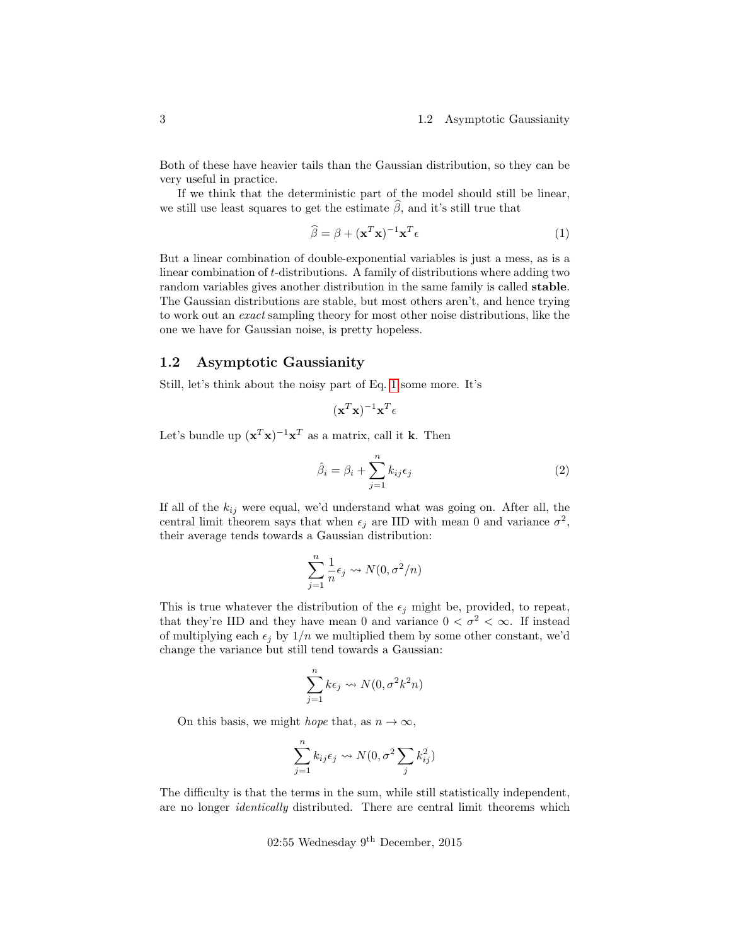Both of these have heavier tails than the Gaussian distribution, so they can be very useful in practice.

If we think that the deterministic part of the model should still be linear, we still use least squares to get the estimate  $\beta$ , and it's still true that

<span id="page-2-1"></span>
$$
\widehat{\beta} = \beta + (\mathbf{x}^T \mathbf{x})^{-1} \mathbf{x}^T \epsilon \tag{1}
$$

But a linear combination of double-exponential variables is just a mess, as is a linear combination of t-distributions. A family of distributions where adding two random variables gives another distribution in the same family is called stable. The Gaussian distributions are stable, but most others aren't, and hence trying to work out an exact sampling theory for most other noise distributions, like the one we have for Gaussian noise, is pretty hopeless.

### <span id="page-2-0"></span>1.2 Asymptotic Gaussianity

Still, let's think about the noisy part of Eq. [1](#page-2-1) some more. It's

$$
(\mathbf{x}^T\mathbf{x})^{-1}\mathbf{x}^T\mathbf{\epsilon}
$$

Let's bundle up  $(\mathbf{x}^T \mathbf{x})^{-1} \mathbf{x}^T$  as a matrix, call it k. Then

$$
\hat{\beta}_i = \beta_i + \sum_{j=1}^n k_{ij} \epsilon_j \tag{2}
$$

If all of the  $k_{ij}$  were equal, we'd understand what was going on. After all, the central limit theorem says that when  $\epsilon_j$  are IID with mean 0 and variance  $\sigma^2$ , their average tends towards a Gaussian distribution:

$$
\sum_{j=1}^{n} \frac{1}{n} \epsilon_j \leadsto N(0, \sigma^2/n)
$$

This is true whatever the distribution of the  $\epsilon_j$  might be, provided, to repeat, that they're IID and they have mean 0 and variance  $0 < \sigma^2 < \infty$ . If instead of multiplying each  $\epsilon_j$  by  $1/n$  we multiplied them by some other constant, we'd change the variance but still tend towards a Gaussian:

$$
\sum_{j=1}^{n} k\epsilon_j \leadsto N(0, \sigma^2 k^2 n)
$$

On this basis, we might *hope* that, as  $n \to \infty$ ,

$$
\sum_{j=1}^{n} k_{ij} \epsilon_j \rightsquigarrow N(0, \sigma^2 \sum_j k_{ij}^2)
$$

The difficulty is that the terms in the sum, while still statistically independent, are no longer identically distributed. There are central limit theorems which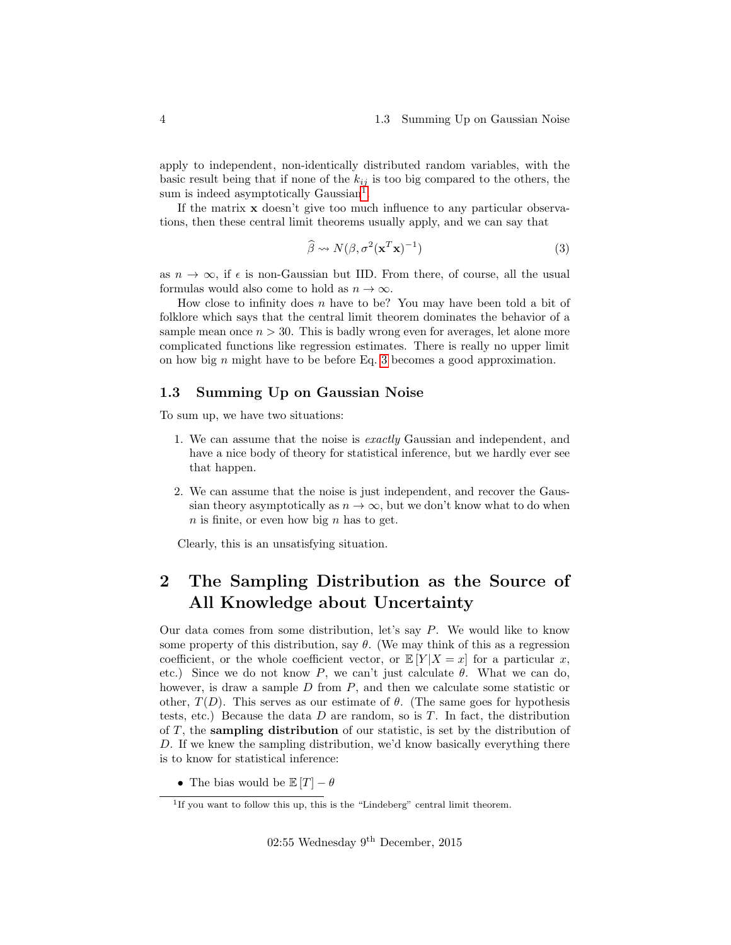apply to independent, non-identically distributed random variables, with the basic result being that if none of the  $k_{ij}$  is too big compared to the others, the sum is indeed asymptotically Gaussian<sup>[1](#page-3-2)</sup>.

If the matrix  $\bf{x}$  doesn't give too much influence to any particular observations, then these central limit theorems usually apply, and we can say that

<span id="page-3-3"></span>
$$
\widehat{\beta} \rightsquigarrow N(\beta, \sigma^2(\mathbf{x}^T \mathbf{x})^{-1})
$$
\n(3)

as  $n \to \infty$ , if  $\epsilon$  is non-Gaussian but IID. From there, of course, all the usual formulas would also come to hold as  $n \to \infty$ .

How close to infinity does  $n$  have to be? You may have been told a bit of folklore which says that the central limit theorem dominates the behavior of a sample mean once  $n > 30$ . This is badly wrong even for averages, let alone more complicated functions like regression estimates. There is really no upper limit on how big  $n$  might have to be before Eq. [3](#page-3-3) becomes a good approximation.

### <span id="page-3-0"></span>1.3 Summing Up on Gaussian Noise

To sum up, we have two situations:

- 1. We can assume that the noise is exactly Gaussian and independent, and have a nice body of theory for statistical inference, but we hardly ever see that happen.
- 2. We can assume that the noise is just independent, and recover the Gaussian theory asymptotically as  $n \to \infty$ , but we don't know what to do when  $n$  is finite, or even how big  $n$  has to get.

Clearly, this is an unsatisfying situation.

## <span id="page-3-1"></span>2 The Sampling Distribution as the Source of All Knowledge about Uncertainty

Our data comes from some distribution, let's say P. We would like to know some property of this distribution, say  $\theta$ . (We may think of this as a regression coefficient, or the whole coefficient vector, or  $\mathbb{E}[Y|X=x]$  for a particular x, etc.) Since we do not know P, we can't just calculate  $\theta$ . What we can do, however, is draw a sample  $D$  from  $P$ , and then we calculate some statistic or other,  $T(D)$ . This serves as our estimate of  $\theta$ . (The same goes for hypothesis tests, etc.) Because the data  $D$  are random, so is  $T$ . In fact, the distribution of T, the sampling distribution of our statistic, is set by the distribution of D. If we knew the sampling distribution, we'd know basically everything there is to know for statistical inference:

• The bias would be  $\mathbb{E}[T] - \theta$ 

<span id="page-3-2"></span><sup>&</sup>lt;sup>1</sup>If you want to follow this up, this is the "Lindeberg" central limit theorem.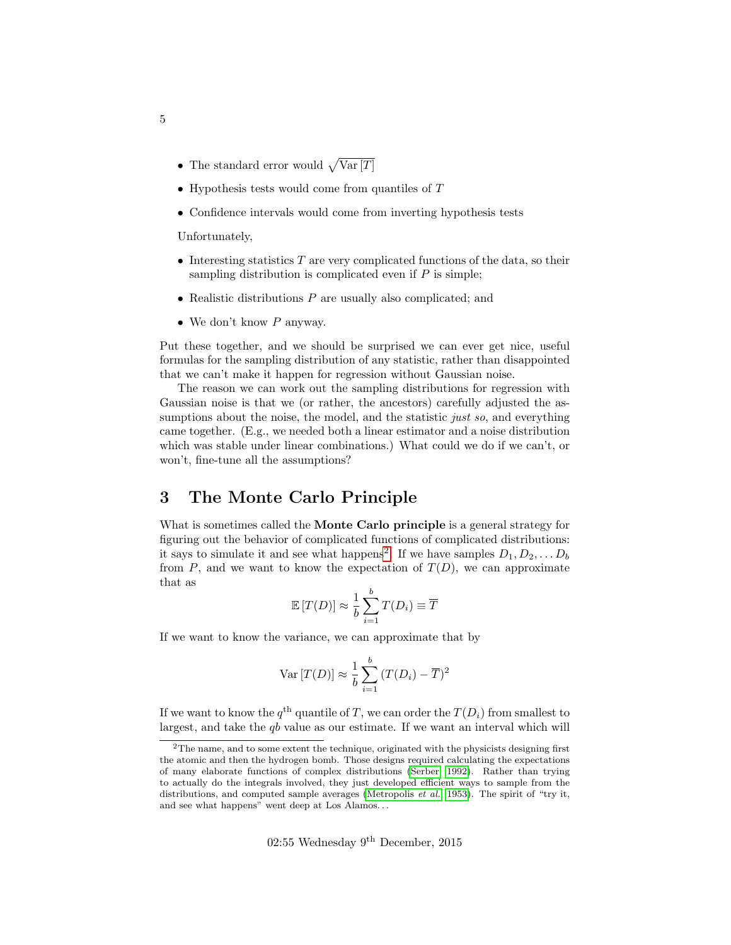- The standard error would  $\sqrt{\text{Var}[T]}$
- Hypothesis tests would come from quantiles of  $T$
- Confidence intervals would come from inverting hypothesis tests

Unfortunately,

- Interesting statistics  $T$  are very complicated functions of the data, so their sampling distribution is complicated even if  $P$  is simple;
- Realistic distributions  $P$  are usually also complicated; and
- We don't know  $P$  anyway.

Put these together, and we should be surprised we can ever get nice, useful formulas for the sampling distribution of any statistic, rather than disappointed that we can't make it happen for regression without Gaussian noise.

The reason we can work out the sampling distributions for regression with Gaussian noise is that we (or rather, the ancestors) carefully adjusted the assumptions about the noise, the model, and the statistic *just so*, and everything came together. (E.g., we needed both a linear estimator and a noise distribution which was stable under linear combinations.) What could we do if we can't, or won't, fine-tune all the assumptions?

## <span id="page-4-0"></span>3 The Monte Carlo Principle

What is sometimes called the Monte Carlo principle is a general strategy for figuring out the behavior of complicated functions of complicated distributions: it says to simulate it and see what happens<sup>[2](#page-4-1)</sup>. If we have samples  $D_1, D_2, \ldots D_b$ from  $P$ , and we want to know the expectation of  $T(D)$ , we can approximate that as

$$
\mathbb{E}\left[T(D)\right] \approx \frac{1}{b} \sum_{i=1}^{b} T(D_i) \equiv \overline{T}
$$

If we want to know the variance, we can approximate that by

$$
\text{Var}\left[T(D)\right] \approx \frac{1}{b} \sum_{i=1}^{b} \left(T(D_i) - \overline{T}\right)^2
$$

If we want to know the  $q^{\text{th}}$  quantile of T, we can order the  $T(D_i)$  from smallest to largest, and take the  $qb$  value as our estimate. If we want an interval which will

<span id="page-4-1"></span><sup>2</sup>The name, and to some extent the technique, originated with the physicists designing first the atomic and then the hydrogen bomb. Those designs required calculating the expectations of many elaborate functions of complex distributions [\(Serber, 1992\)](#page-15-0). Rather than trying to actually do the integrals involved, they just developed efficient ways to sample from the distributions, and computed sample averages [\(Metropolis](#page-15-1) *et al.*, [1953\)](#page-15-1). The spirit of "try it, and see what happens" went deep at Los Alamos. . .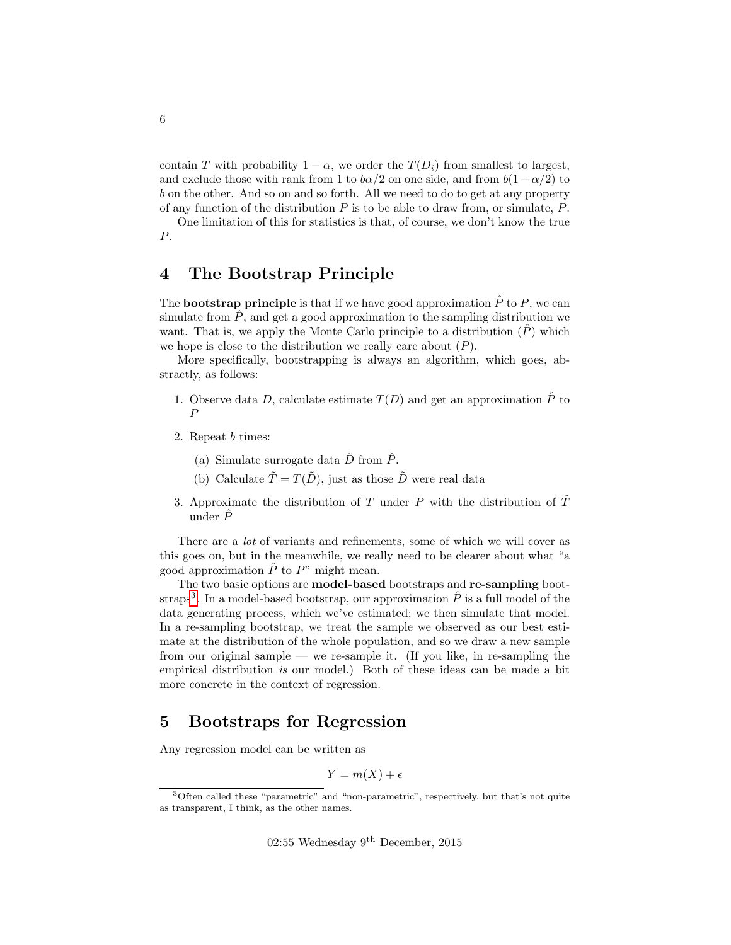contain T with probability  $1 - \alpha$ , we order the  $T(D_i)$  from smallest to largest, and exclude those with rank from 1 to  $b\alpha/2$  on one side, and from  $b(1-\alpha/2)$  to b on the other. And so on and so forth. All we need to do to get at any property of any function of the distribution  $P$  is to be able to draw from, or simulate,  $P$ .

One limitation of this for statistics is that, of course, we don't know the true P.

## <span id="page-5-0"></span>4 The Bootstrap Principle

The **bootstrap principle** is that if we have good approximation  $\hat{P}$  to P, we can simulate from  $\hat{P}$ , and get a good approximation to the sampling distribution we want. That is, we apply the Monte Carlo principle to a distribution  $(\tilde{P})$  which we hope is close to the distribution we really care about  $(P)$ .

More specifically, bootstrapping is always an algorithm, which goes, abstractly, as follows:

- 1. Observe data D, calculate estimate  $T(D)$  and get an approximation  $\hat{P}$  to P
- 2. Repeat b times:
	- (a) Simulate surrogate data  $\tilde{D}$  from  $\hat{P}$ .
	- (b) Calculate  $\tilde{T} = T(\tilde{D})$ , just as those  $\tilde{D}$  were real data
- 3. Approximate the distribution of T under P with the distribution of  $\tilde{T}$ under  $\hat{P}$

There are a lot of variants and refinements, some of which we will cover as this goes on, but in the meanwhile, we really need to be clearer about what "a good approximation  $\hat{P}$  to  $P^{\prime\prime}$  might mean.

The two basic options are model-based bootstraps and re-sampling boot-straps<sup>[3](#page-5-2)</sup>. In a model-based bootstrap, our approximation  $\hat{P}$  is a full model of the data generating process, which we've estimated; we then simulate that model. In a re-sampling bootstrap, we treat the sample we observed as our best estimate at the distribution of the whole population, and so we draw a new sample from our original sample — we re-sample it. (If you like, in re-sampling the empirical distribution is our model.) Both of these ideas can be made a bit more concrete in the context of regression.

## <span id="page-5-1"></span>5 Bootstraps for Regression

Any regression model can be written as

$$
Y = m(X) + \epsilon
$$

<span id="page-5-2"></span><sup>3</sup>Often called these "parametric" and "non-parametric", respectively, but that's not quite as transparent, I think, as the other names.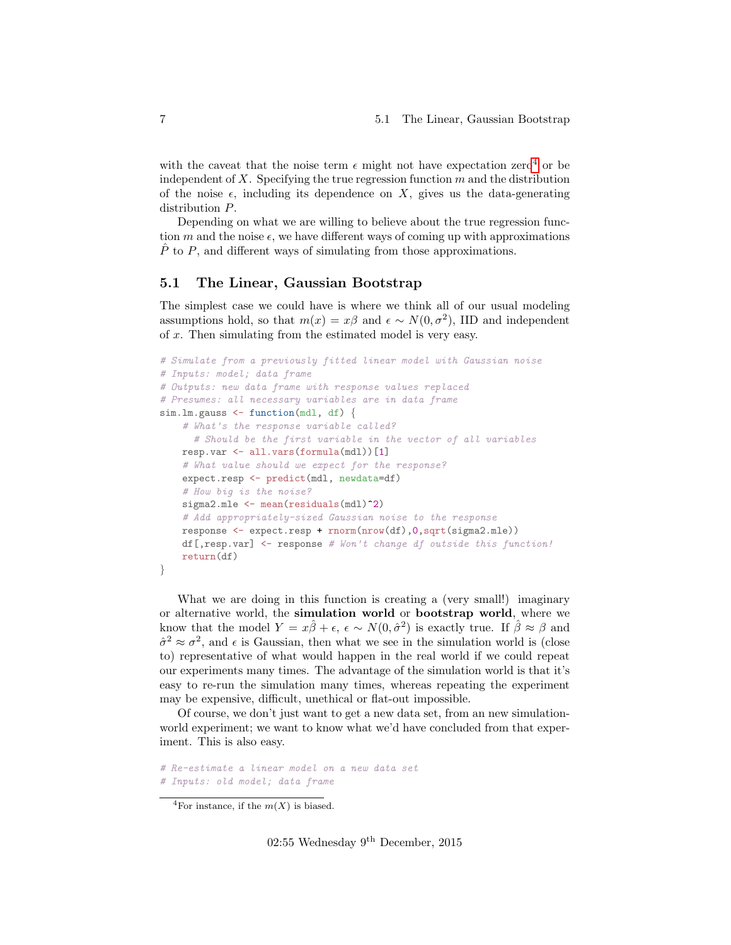with the caveat that the noise term  $\epsilon$  might not have expectation zero<sup>[4](#page-6-1)</sup> or be independent of  $X$ . Specifying the true regression function  $m$  and the distribution of the noise  $\epsilon$ , including its dependence on X, gives us the data-generating distribution P.

Depending on what we are willing to believe about the true regression function m and the noise  $\epsilon$ , we have different ways of coming up with approximations  $\hat{P}$  to P, and different ways of simulating from those approximations.

#### <span id="page-6-0"></span>5.1 The Linear, Gaussian Bootstrap

The simplest case we could have is where we think all of our usual modeling assumptions hold, so that  $m(x) = x\beta$  and  $\epsilon \sim N(0, \sigma^2)$ , IID and independent of x. Then simulating from the estimated model is very easy.

```
# Simulate from a previously fitted linear model with Gaussian noise
# Inputs: model; data frame
# Outputs: new data frame with response values replaced
# Presumes: all necessary variables are in data frame
sim.lm.gauss \leq function(mdl, df) {
    # What's the response variable called?
     # Should be the first variable in the vector of all variables
    resp.var <- all.vars(formula(mdl))[1]
    # What value should we expect for the response?
    expect.resp <- predict(mdl, newdata=df)
    # How big is the noise?
    sigma2.mle \leftarrow mean(residuals(mdl)<sup>2</sup>)
    # Add appropriately-sized Gaussian noise to the response
    response <- expect.resp + rnorm(nrow(df),0,sqrt(sigma2.mle))
    df[,resp.var] <- response # Won't change df outside this function!
    return(df)
}
```
What we are doing in this function is creating a (very small!) imaginary or alternative world, the simulation world or bootstrap world, where we know that the model  $Y = x\hat{\beta} + \epsilon$ ,  $\epsilon \sim N(0, \hat{\sigma}^2)$  is exactly true. If  $\hat{\beta} \approx \beta$  and  $\hat{\sigma}^2 \approx \sigma^2$ , and  $\epsilon$  is Gaussian, then what we see in the simulation world is (close to) representative of what would happen in the real world if we could repeat our experiments many times. The advantage of the simulation world is that it's easy to re-run the simulation many times, whereas repeating the experiment may be expensive, difficult, unethical or flat-out impossible.

Of course, we don't just want to get a new data set, from an new simulationworld experiment; we want to know what we'd have concluded from that experiment. This is also easy.

```
# Re-estimate a linear model on a new data set
# Inputs: old model; data frame
```
<span id="page-6-1"></span><sup>&</sup>lt;sup>4</sup>For instance, if the  $m(X)$  is biased.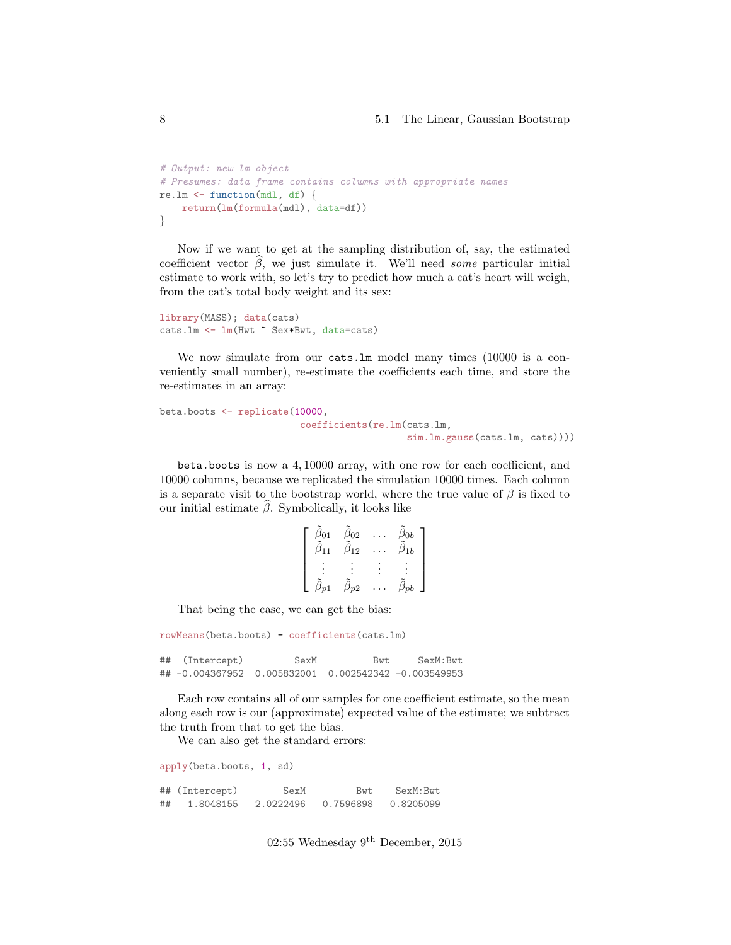#### 8 5.1 The Linear, Gaussian Bootstrap

```
# Output: new lm object
# Presumes: data frame contains columns with appropriate names
re.lm \leq function(mdl, df) {
    return(lm(formula(mdl), data=df))
}
```
Now if we want to get at the sampling distribution of, say, the estimated coefficient vector  $\hat{\beta}$ , we just simulate it. We'll need some particular initial estimate to work with, so let's try to predict how much a cat's heart will weigh, from the cat's total body weight and its sex:

```
library(MASS); data(cats)
cats.lm <- lm(Hwt ~ Sex*Bwt, data=cats)
```
We now simulate from our cats. In model many times (10000 is a conveniently small number), re-estimate the coefficients each time, and store the re-estimates in an array:

```
beta.boots <- replicate(10000,
                         coefficients(re.lm(cats.lm,
                                            sim.lm.gauss(cats.lm, cats))))
```
beta.boots is now a 4, 10000 array, with one row for each coefficient, and 10000 columns, because we replicated the simulation 10000 times. Each column is a separate visit to the bootstrap world, where the true value of  $\beta$  is fixed to our initial estimate  $\hat{\beta}$ . Symbolically, it looks like

| $\beta_{01}$ | $\beta_{02}$ | $\beta_{0b}$ |
|--------------|--------------|--------------|
| $\beta_{11}$ | $\beta_{12}$ | $\beta_{1b}$ |
|              |              |              |
|              |              |              |
|              |              |              |
|              | $\beta_{p2}$ |              |

That being the case, we can get the bias:

```
rowMeans(beta.boots) - coefficients(cats.lm)
## (Intercept) SexM Bwt SexM:Bwt
```
## -0.004367952 0.005832001 0.002542342 -0.003549953

Each row contains all of our samples for one coefficient estimate, so the mean along each row is our (approximate) expected value of the estimate; we subtract the truth from that to get the bias.

We can also get the standard errors:

apply(beta.boots, 1, sd) ## (Intercept) SexM Bwt SexM:Bwt ## 1.8048155 2.0222496 0.7596898 0.8205099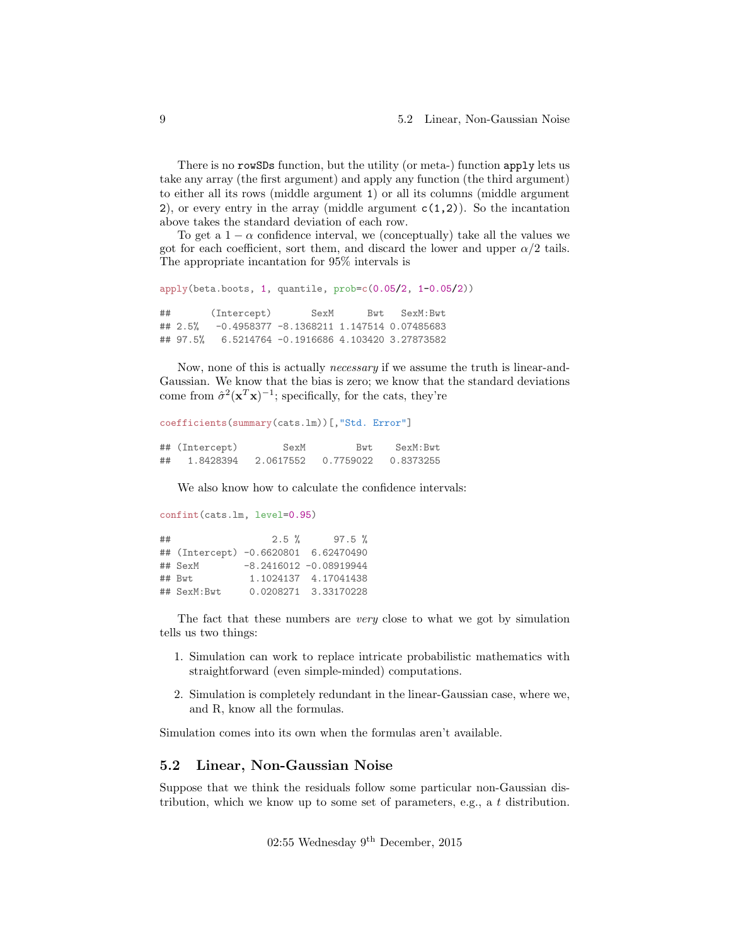There is no rowSDs function, but the utility (or meta-) function apply lets us take any array (the first argument) and apply any function (the third argument) to either all its rows (middle argument 1) or all its columns (middle argument 2), or every entry in the array (middle argument  $c(1,2)$ ). So the incantation above takes the standard deviation of each row.

To get a  $1 - \alpha$  confidence interval, we (conceptually) take all the values we got for each coefficient, sort them, and discard the lower and upper  $\alpha/2$  tails. The appropriate incantation for 95% intervals is

```
apply(beta.boots, 1, quantile, prob=c(0.05/2, 1-0.05/2))
## (Intercept) SexM Bwt SexM:Bwt
## 2.5% -0.4958377 -8.1368211 1.147514 0.07485683
```
## 97.5% 6.5214764 -0.1916686 4.103420 3.27873582

Now, none of this is actually *necessary* if we assume the truth is linear-and-Gaussian. We know that the bias is zero; we know that the standard deviations come from  $\hat{\sigma}^2(\mathbf{x}^T\mathbf{x})^{-1}$ ; specifically, for the cats, they're

```
coefficients(summary(cats.lm))[,"Std. Error"]
## (Intercept) SexM Bwt SexM:Bwt
## 1.8428394 2.0617552 0.7759022 0.8373255
```
We also know how to calculate the confidence intervals:

```
confint(cats.lm, level=0.95)
## 2.5 % 97.5 %
## (Intercept) -0.6620801 6.62470490
## SexM -8.2416012 -0.08919944
## Bwt 1.1024137 4.17041438
## SexM:Bwt 0.0208271 3.33170228
```
The fact that these numbers are very close to what we got by simulation tells us two things:

- 1. Simulation can work to replace intricate probabilistic mathematics with straightforward (even simple-minded) computations.
- 2. Simulation is completely redundant in the linear-Gaussian case, where we, and R, know all the formulas.

Simulation comes into its own when the formulas aren't available.

### <span id="page-8-0"></span>5.2 Linear, Non-Gaussian Noise

Suppose that we think the residuals follow some particular non-Gaussian distribution, which we know up to some set of parameters, e.g., a t distribution.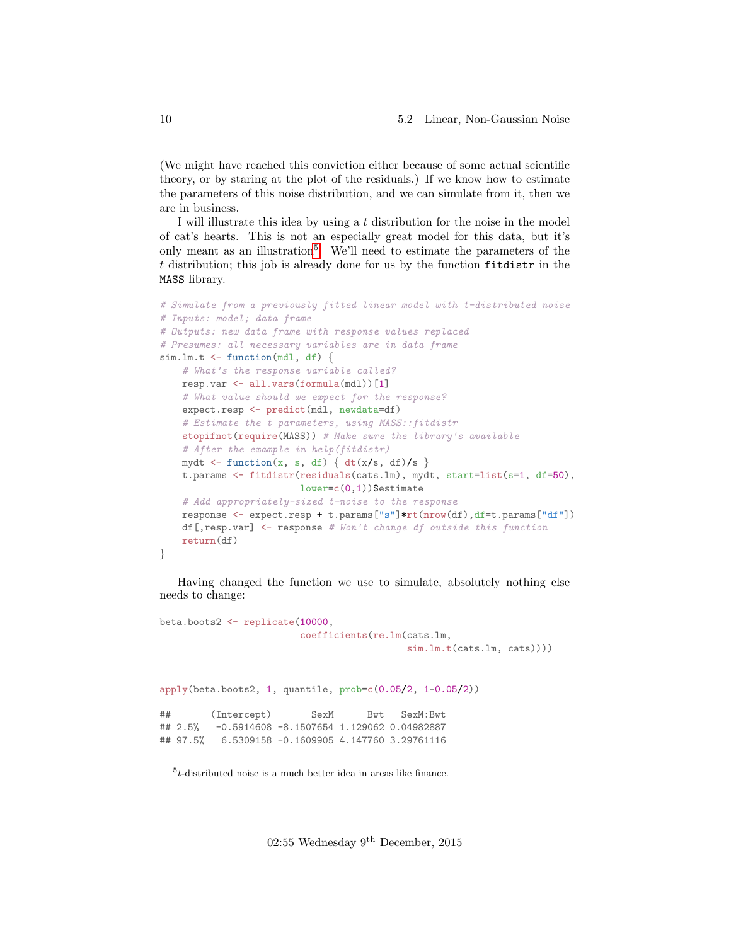(We might have reached this conviction either because of some actual scientific theory, or by staring at the plot of the residuals.) If we know how to estimate the parameters of this noise distribution, and we can simulate from it, then we are in business.

I will illustrate this idea by using a t distribution for the noise in the model of cat's hearts. This is not an especially great model for this data, but it's only meant as an illustration<sup>[5](#page-9-0)</sup>. We'll need to estimate the parameters of the t distribution; this job is already done for us by the function fitdistr in the MASS library.

```
# Simulate from a previously fitted linear model with t-distributed noise
# Inputs: model; data frame
# Outputs: new data frame with response values replaced
# Presumes: all necessary variables are in data frame
sim.lm.t \leq function(mdl, df) {
    # What's the response variable called?
   resp.var <- all.vars(formula(mdl))[1]
    # What value should we expect for the response?
    expect.resp <- predict(mdl, newdata=df)
    # Estimate the t parameters, using MASS::fitdistr
    stopifnot(require(MASS)) # Make sure the library's available
    # After the example in help(fitdistr)
    mydt \leftarrow function(x, s, df) { dt(x/s, df)/s }
    t.params <- fitdistr(residuals(cats.lm), mydt, start=list(s=1, df=50),
                         lower=c(0,1))$estimate
    # Add appropriately-sized t-noise to the response
    response <- expect.resp + t.params["s"]*rt(nrow(df),df=t.params["df"])
    df[,resp.var] \leq response # Won't change df outside this function
    return(df)
}
```
Having changed the function we use to simulate, absolutely nothing else needs to change:

```
beta.boots2 <- replicate(10000,
                       coefficients(re.lm(cats.lm,
                                         sim.lm.t(cats.lm, cats)))
apply(beta.boots2, 1, quantile, prob=c(0.05/2, 1-0.05/2))
## (Intercept) SexM Bwt SexM:Bwt
## 2.5% -0.5914608 -8.1507654 1.129062 0.04982887
## 97.5% 6.5309158 -0.1609905 4.147760 3.29761116
```
<span id="page-9-0"></span> $5t$ -distributed noise is a much better idea in areas like finance.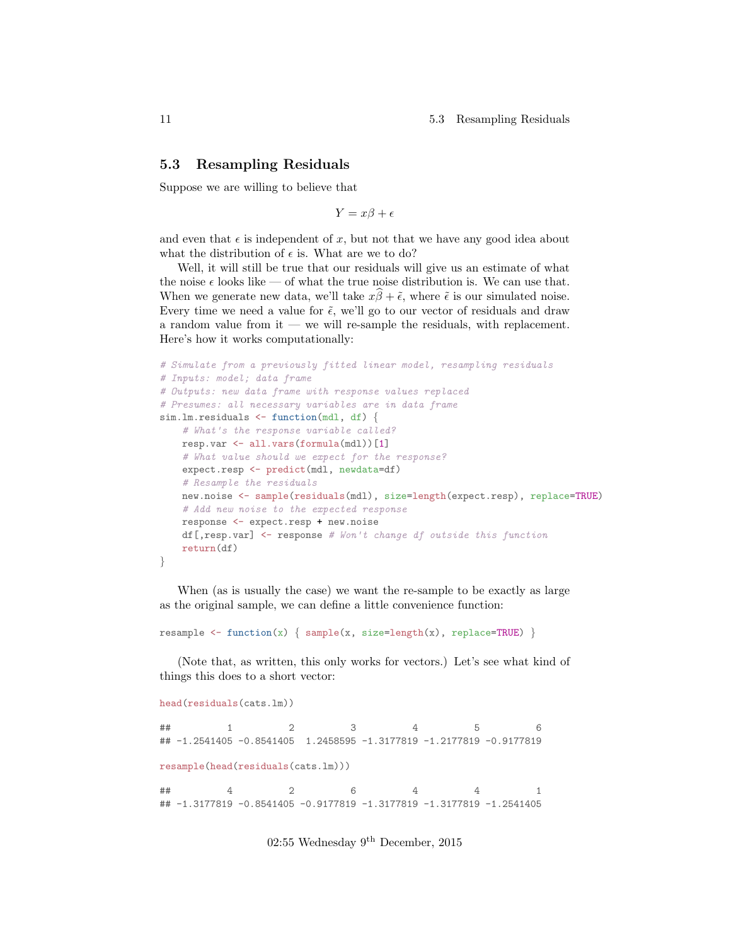11 5.3 Resampling Residuals

### <span id="page-10-0"></span>5.3 Resampling Residuals

Suppose we are willing to believe that

 $Y = x\beta + \epsilon$ 

and even that  $\epsilon$  is independent of x, but not that we have any good idea about what the distribution of  $\epsilon$  is. What are we to do?

Well, it will still be true that our residuals will give us an estimate of what the noise  $\epsilon$  looks like — of what the true noise distribution is. We can use that. When we generate new data, we'll take  $x\hat{\beta} + \tilde{\epsilon}$ , where  $\tilde{\epsilon}$  is our simulated noise. Every time we need a value for  $\tilde{\epsilon}$ , we'll go to our vector of residuals and draw a random value from it — we will re-sample the residuals, with replacement. Here's how it works computationally:

```
# Simulate from a previously fitted linear model, resampling residuals
# Inputs: model; data frame
# Outputs: new data frame with response values replaced
# Presumes: all necessary variables are in data frame
sim.lm.residuals <- function(mdl, df) {
    # What's the response variable called?
   resp.var <- all.vars(formula(mdl))[1]
    # What value should we expect for the response?
    expect.resp <- predict(mdl, newdata=df)
    # Resample the residuals
   new.noise <- sample(residuals(mdl), size=length(expect.resp), replace=TRUE)
    # Add new noise to the expected response
   response <- expect.resp + new.noise
    df[,resp.var] \leq response # Won't change df outside this function
    return(df)
}
```
When (as is usually the case) we want the re-sample to be exactly as large as the original sample, we can define a little convenience function:

resample  $\leftarrow$  function(x) { sample(x, size=length(x), replace=TRUE) }

(Note that, as written, this only works for vectors.) Let's see what kind of things this does to a short vector:

```
head(residuals(cats.lm))
## 1 2 3 4 5 6
## -1.2541405 -0.8541405 1.2458595 -1.3177819 -1.2177819 -0.9177819
resample(head(residuals(cats.lm)))
## 4 2 6 4 4 1
## -1.3177819 -0.8541405 -0.9177819 -1.3177819 -1.3177819 -1.2541405
```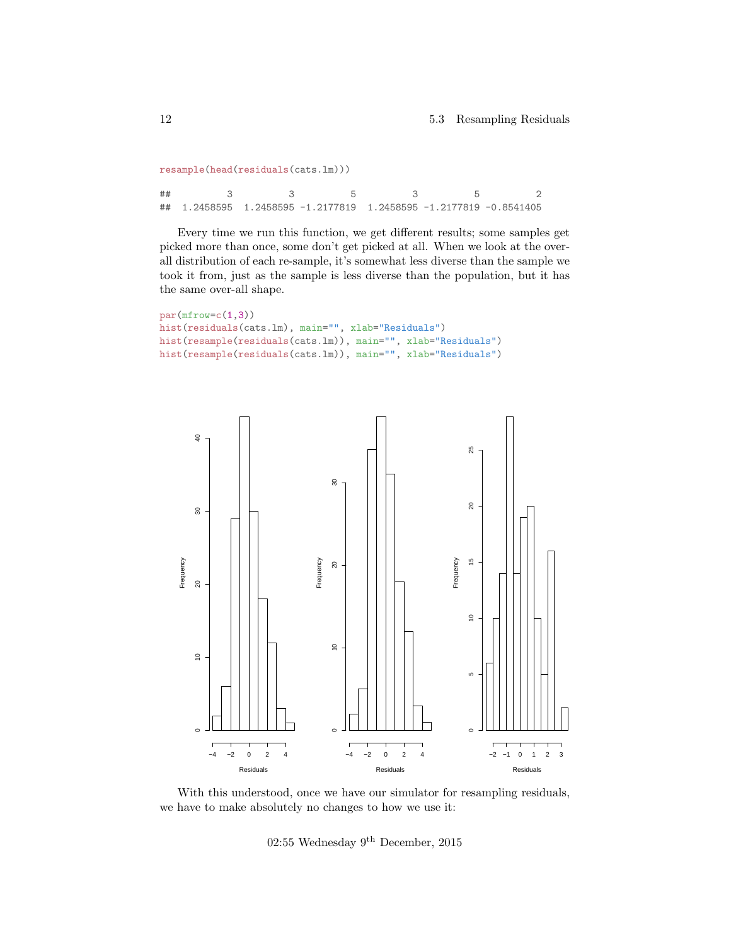```
resample(head(residuals(cats.lm)))
```
## 3 3 5 3 5 2 ## 1.2458595 1.2458595 -1.2177819 1.2458595 -1.2177819 -0.8541405

Every time we run this function, we get different results; some samples get picked more than once, some don't get picked at all. When we look at the overall distribution of each re-sample, it's somewhat less diverse than the sample we took it from, just as the sample is less diverse than the population, but it has the same over-all shape.

```
par(mfrow=c(1,3))
hist(residuals(cats.lm), main="", xlab="Residuals")
hist(resample(residuals(cats.lm)), main="", xlab="Residuals")
hist(resample(residuals(cats.lm)), main="", xlab="Residuals")
```


With this understood, once we have our simulator for resampling residuals, we have to make absolutely no changes to how we use it:

02:55 Wednesday 9th December, 2015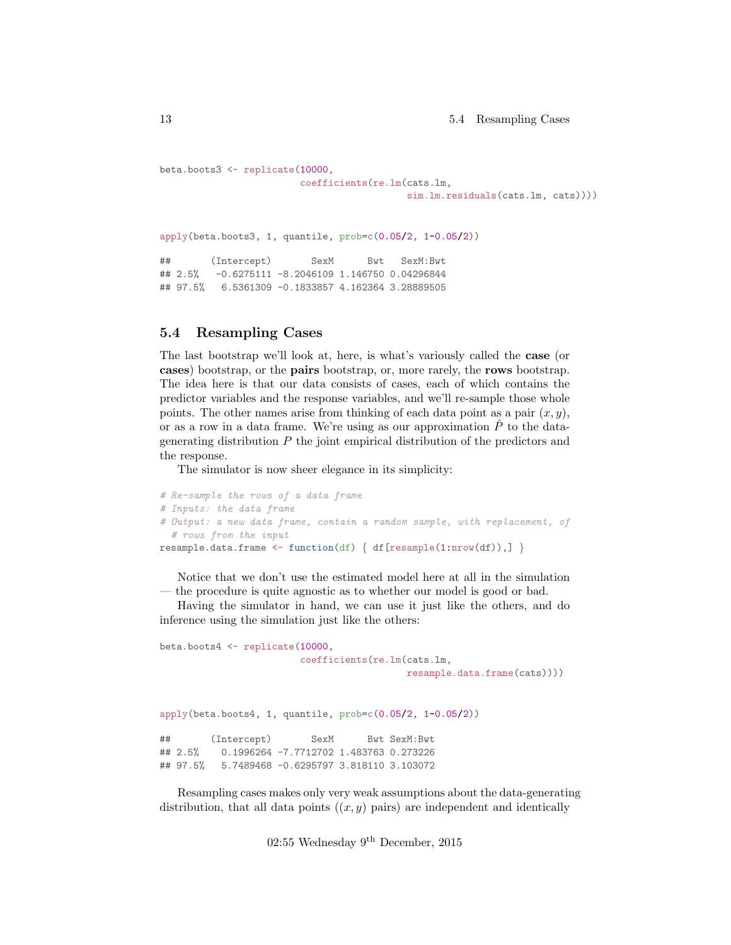```
beta.boots3 <- replicate(10000,
                       coefficients(re.lm(cats.lm,
                                         sim.lm.residuals(cats.lm, cats))))
apply(beta.boots3, 1, quantile, prob=c(0.05/2, 1-0.05/2))
## (Intercept) SexM Bwt SexM:Bwt
## 2.5% -0.6275111 -8.2046109 1.146750 0.04296844
## 97.5% 6.5361309 -0.1833857 4.162364 3.28889505
```
### <span id="page-12-0"></span>5.4 Resampling Cases

The last bootstrap we'll look at, here, is what's variously called the case (or cases) bootstrap, or the pairs bootstrap, or, more rarely, the rows bootstrap. The idea here is that our data consists of cases, each of which contains the predictor variables and the response variables, and we'll re-sample those whole points. The other names arise from thinking of each data point as a pair  $(x, y)$ , or as a row in a data frame. We're using as our approximation  $\hat{P}$  to the datagenerating distribution P the joint empirical distribution of the predictors and the response.

The simulator is now sheer elegance in its simplicity:

```
# Re-sample the rows of a data frame
# Inputs: the data frame
# Output: a new data frame, contain a random sample, with replacement, of
  # rows from the input
resample.data.frame <- function(df) { df [resample(1:nrow(df)),] }
```
Notice that we don't use the estimated model here at all in the simulation — the procedure is quite agnostic as to whether our model is good or bad.

Having the simulator in hand, we can use it just like the others, and do inference using the simulation just like the others:

```
beta.boots4 <- replicate(10000,
                       coefficients(re.lm(cats.lm,
                                         resample.data.frame(cats))))
apply(beta.boots4, 1, quantile, prob=c(0.05/2, 1-0.05/2))
## (Intercept) SexM Bwt SexM:Bwt
## 2.5% 0.1996264 -7.7712702 1.483763 0.273226
## 97.5% 5.7489468 -0.6295797 3.818110 3.103072
```
Resampling cases makes only very weak assumptions about the data-generating distribution, that all data points  $((x, y)$  pairs) are independent and identically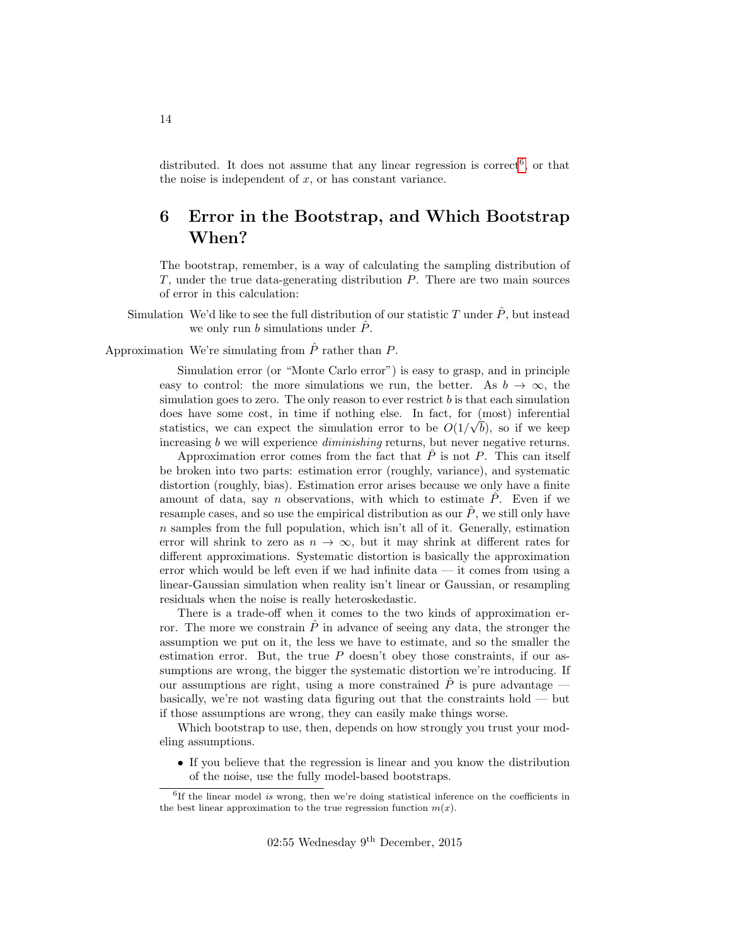distributed. It does not assume that any linear regression is correct<sup>[6](#page-13-1)</sup>, or that the noise is independent of  $x$ , or has constant variance.

## <span id="page-13-0"></span>6 Error in the Bootstrap, and Which Bootstrap When?

The bootstrap, remember, is a way of calculating the sampling distribution of T, under the true data-generating distribution P. There are two main sources of error in this calculation:

Simulation We'd like to see the full distribution of our statistic T under  $\hat{P}$ , but instead we only run b simulations under  $\hat{P}$ .

Approximation We're simulating from  $\hat{P}$  rather than P.

Simulation error (or "Monte Carlo error") is easy to grasp, and in principle easy to control: the more simulations we run, the better. As  $b \to \infty$ , the simulation goes to zero. The only reason to ever restrict  $b$  is that each simulation does have some cost, in time if nothing else. In fact, for  $(most)$  inferential statistics, we can expect the simulation error to be  $O(1/\sqrt{b})$ , so if we keep increasing b we will experience *diminishing* returns, but never negative returns.

Approximation error comes from the fact that  $P$  is not  $P$ . This can itself be broken into two parts: estimation error (roughly, variance), and systematic distortion (roughly, bias). Estimation error arises because we only have a finite amount of data, say n observations, with which to estimate  $\hat{P}$ . Even if we resample cases, and so use the empirical distribution as our  $\hat{P}$ , we still only have  $n$  samples from the full population, which isn't all of it. Generally, estimation error will shrink to zero as  $n \to \infty$ , but it may shrink at different rates for different approximations. Systematic distortion is basically the approximation error which would be left even if we had infinite data — it comes from using a linear-Gaussian simulation when reality isn't linear or Gaussian, or resampling residuals when the noise is really heteroskedastic.

There is a trade-off when it comes to the two kinds of approximation error. The more we constrain  $\hat{P}$  in advance of seeing any data, the stronger the assumption we put on it, the less we have to estimate, and so the smaller the estimation error. But, the true  $P$  doesn't obey those constraints, if our assumptions are wrong, the bigger the systematic distortion we're introducing. If our assumptions are right, using a more constrained  $\hat{P}$  is pure advantage basically, we're not wasting data figuring out that the constraints hold — but if those assumptions are wrong, they can easily make things worse.

Which bootstrap to use, then, depends on how strongly you trust your modeling assumptions.

• If you believe that the regression is linear and you know the distribution of the noise, use the fully model-based bootstraps.

<span id="page-13-1"></span><sup>&</sup>lt;sup>6</sup>If the linear model is wrong, then we're doing statistical inference on the coefficients in the best linear approximation to the true regression function  $m(x)$ .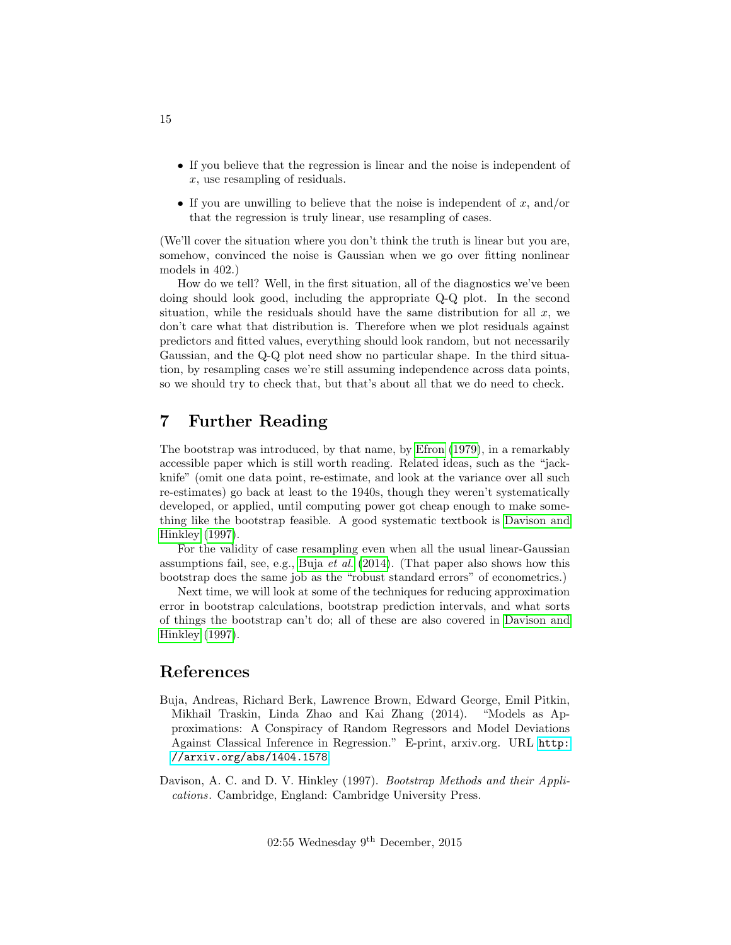- If you believe that the regression is linear and the noise is independent of x, use resampling of residuals.
- If you are unwilling to believe that the noise is independent of  $x$ , and/or that the regression is truly linear, use resampling of cases.

(We'll cover the situation where you don't think the truth is linear but you are, somehow, convinced the noise is Gaussian when we go over fitting nonlinear models in 402.)

How do we tell? Well, in the first situation, all of the diagnostics we've been doing should look good, including the appropriate Q-Q plot. In the second situation, while the residuals should have the same distribution for all  $x$ , we don't care what that distribution is. Therefore when we plot residuals against predictors and fitted values, everything should look random, but not necessarily Gaussian, and the Q-Q plot need show no particular shape. In the third situation, by resampling cases we're still assuming independence across data points, so we should try to check that, but that's about all that we do need to check.

## <span id="page-14-0"></span>7 Further Reading

The bootstrap was introduced, by that name, by [Efron](#page-15-2) [\(1979\)](#page-15-2), in a remarkably accessible paper which is still worth reading. Related ideas, such as the "jackknife" (omit one data point, re-estimate, and look at the variance over all such re-estimates) go back at least to the 1940s, though they weren't systematically developed, or applied, until computing power got cheap enough to make something like the bootstrap feasible. A good systematic textbook is [Davison and](#page-14-1) [Hinkley](#page-14-1) [\(1997\)](#page-14-1).

For the validity of case resampling even when all the usual linear-Gaussian assumptions fail, see, e.g., Buja *[et al.](#page-14-2)* [\(2014\)](#page-14-2). (That paper also shows how this bootstrap does the same job as the "robust standard errors" of econometrics.)

Next time, we will look at some of the techniques for reducing approximation error in bootstrap calculations, bootstrap prediction intervals, and what sorts of things the bootstrap can't do; all of these are also covered in [Davison and](#page-14-1) [Hinkley](#page-14-1) [\(1997\)](#page-14-1).

### References

- <span id="page-14-2"></span>Buja, Andreas, Richard Berk, Lawrence Brown, Edward George, Emil Pitkin, Mikhail Traskin, Linda Zhao and Kai Zhang (2014). "Models as Approximations: A Conspiracy of Random Regressors and Model Deviations Against Classical Inference in Regression." E-print, arxiv.org. URL [http:](http://arxiv.org/abs/1404.1578) [//arxiv.org/abs/1404.1578](http://arxiv.org/abs/1404.1578).
- <span id="page-14-1"></span>Davison, A. C. and D. V. Hinkley (1997). Bootstrap Methods and their Applications. Cambridge, England: Cambridge University Press.